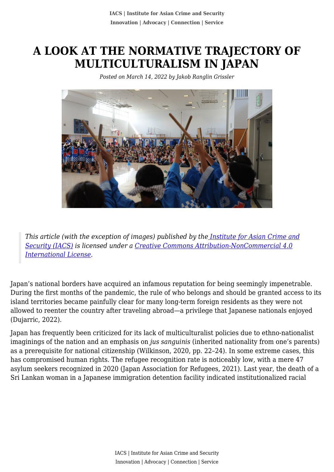## **A LOOK AT THE NORMATIVE TRAJECTORY OF MULTICULTURALISM IN JAPAN**

*Posted on March 14, 2022 by Jakob Ranglin Grissler*



*This article (with the exception of images) published by th[e Institute for Asian Crime and](http://www.theiacs.org) [Security \(IACS\)](http://www.theiacs.org) is licensed under a [Creative Commons Attribution-NonCommercial 4.0](http://creativecommons.org/licenses/by-nc/4.0/) [International License](http://creativecommons.org/licenses/by-nc/4.0/).*

Japan's national borders have acquired an infamous reputation for being seemingly impenetrable. During the first months of the pandemic, the rule of who belongs and should be granted access to its island territories became painfully clear for many long-term foreign residents as they were not allowed to reenter the country after traveling abroad—a privilege that Japanese nationals enjoyed (Dujarric, 2022).

Japan has frequently been criticized for its lack of multiculturalist policies due to ethno-nationalist imaginings of the nation and an emphasis on *jus sanguinis* (inherited nationality from one's parents) as a prerequisite for national citizenship (Wilkinson, 2020, pp. 22–24). In some extreme cases, this has compromised human rights. The refugee recognition rate is noticeably low, with a mere 47 asylum seekers recognized in 2020 (Japan Association for Refugees, 2021). Last year, the death of a Sri Lankan woman in a Japanese immigration detention facility indicated institutionalized racial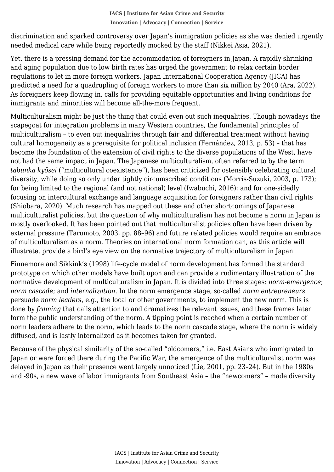needed medical care while being reportedly mocked by the staff (Nikkei Asia, 2021). discrimination and sparked controversy over Japan's immigration policies as she was denied urgently

Yet, there is a pressing demand for the accommodation of foreigners in Japan. A rapidly shrinking and aging population due to low birth rates has urged the government to relax certain border regulations to let in more foreign workers. Japan International Cooperation Agency (JICA) has predicted a need for a quadrupling of foreign workers to more than six million by 2040 (Ara, 2022). As foreigners keep flowing in, calls for providing equitable opportunities and living conditions for immigrants and minorities will become all-the-more frequent.

Multiculturalism might be just the thing that could even out such inequalities. Though nowadays the scapegoat for integration problems in many Western countries, the fundamental principles of multiculturalism – to even out inequalities through fair and differential treatment without having cultural homogeneity as a prerequisite for political inclusion (Fernández, 2013, p. 53) – that has become the foundation of the extension of civil rights to the diverse populations of the West, have not had the same impact in Japan. The Japanese multiculturalism, often referred to by the term *tabunka kyōsei* ("multicultural coexistence"), has been criticized for ostensibly celebrating cultural diversity, while doing so only under tightly circumscribed conditions (Morris-Suzuki, 2003, p. 173); for being limited to the regional (and not national) level (Iwabuchi, 2016); and for one-sidedly focusing on intercultural exchange and language acquisition for foreigners rather than civil rights (Shiobara, 2020). Much research has mapped out these and other shortcomings of Japanese multiculturalist policies, but the question of why multiculturalism has not become a norm in Japan is mostly overlooked. It has been pointed out that multiculturalist policies often have been driven by external pressure (Tarumoto, 2003, pp. 88–96) and future related policies would require an embrace of multiculturalism as a norm. Theories on international norm formation can, as this article will illustrate, provide a bird's eye view on the normative trajectory of multiculturalism in Japan.

Finnemore and Sikkink's (1998) life-cycle model of norm development has formed the standard prototype on which other models have built upon and can provide a rudimentary illustration of the normative development of multiculturalism in Japan. It is divided into three stages: *norm-emergence*; *norm cascade*; and *internalization*. In the norm emergence stage, so-called *norm entrepreneurs* persuade *norm leaders*, e.g., the local or other governments, to implement the new norm. This is done by *framing* that calls attention to and dramatizes the relevant issues, and these frames later form the public understanding of the norm. A tipping point is reached when a certain number of norm leaders adhere to the norm, which leads to the norm cascade stage, where the norm is widely diffused, and is lastly internalized as it becomes taken for granted.

Because of the physical similarity of the so-called "oldcomers," i.e. East Asians who immigrated to Japan or were forced there during the Pacific War, the emergence of the multiculturalist norm was delayed in Japan as their presence went largely unnoticed (Lie, 2001, pp. 23–24). But in the 1980s and -90s, a new wave of labor immigrants from Southeast Asia – the "newcomers" – made diversity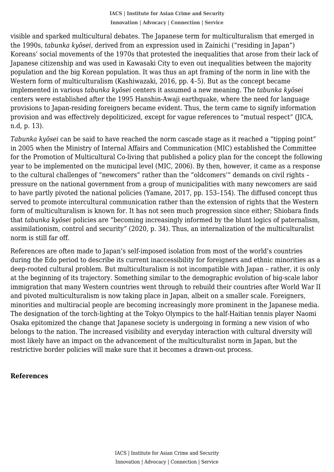the 1990s, *tabunka kyōsei*, derived from an expression used in Zainichi ("residing in Japan") visible and sparked multicultural debates. The Japanese term for multiculturalism that emerged in Koreans' social movements of the 1970s that protested the inequalities that arose from their lack of Japanese citizenship and was used in Kawasaki City to even out inequalities between the majority population and the big Korean population. It was thus an apt framing of the norm in line with the Western form of multiculturalism (Kashiwazaki, 2016, pp. 4–5). But as the concept became implemented in various *tabunka kyōsei* centers it assumed a new meaning. The *tabunka kyōsei* centers were established after the 1995 Hanshin-Awaji earthquake, where the need for language provisions to Japan-residing foreigners became evident. Thus, the term came to signify information provision and was effectively depoliticized, except for vague references to "mutual respect" (JICA, n.d, p. 13).

*Tabunka kyōsei* can be said to have reached the norm cascade stage as it reached a "tipping point" in 2005 when the Ministry of Internal Affairs and Communication (MIC) established the Committee for the Promotion of Multicultural Co-living that published a policy plan for the concept the following year to be implemented on the municipal level (MIC, 2006). By then, however, it came as a response to the cultural challenges of "newcomers" rather than the "oldcomers'" demands on civil rights – pressure on the national government from a group of municipalities with many newcomers are said to have partly pivoted the national policies (Yamane, 2017, pp. 153–154). The diffused concept thus served to promote intercultural communication rather than the extension of rights that the Western form of multiculturalism is known for. It has not seen much progression since either; Shiobara finds that *tabunka kyōsei* policies are "becoming increasingly informed by the blunt logics of paternalism, assimilationism, control and security" (2020, p. 34). Thus, an internalization of the multiculturalist norm is still far off.

References are often made to Japan's self-imposed isolation from most of the world's countries during the Edo period to describe its current inaccessibility for foreigners and ethnic minorities as a deep-rooted cultural problem. But multiculturalism is not incompatible with Japan – rather, it is only at the beginning of its trajectory. Something similar to the demographic evolution of big-scale labor immigration that many Western countries went through to rebuild their countries after World War II and pivoted multiculturalism is now taking place in Japan, albeit on a smaller scale. Foreigners, minorities and multiracial people are becoming increasingly more prominent in the Japanese media. The designation of the torch-lighting at the Tokyo Olympics to the half-Haitian tennis player Naomi Osaka epitomized the change that Japanese society is undergoing in forming a new vision of who belongs to the nation. The increased visibility and everyday interaction with cultural diversity will most likely have an impact on the advancement of the multiculturalist norm in Japan, but the restrictive border policies will make sure that it becomes a drawn-out process.

## **References**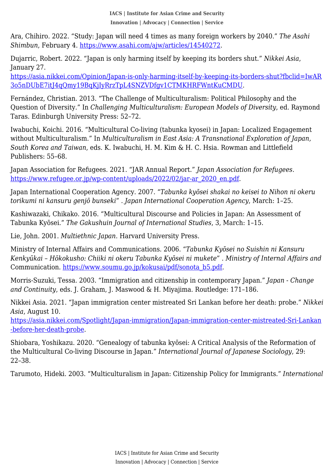**IACS | Institute for Asian Crime and Security Innovation | Advocacy | Connection | Service**

 *Shimbun*, February 4.<https://www.asahi.com/ajw/articles/14540272>. Ara, Chihiro. 2022. "Study: Japan will need 4 times as many foreign workers by 2040." *The Asahi*

Dujarric, Robert. 2022. "Japan is only harming itself by keeping its borders shut." *Nikkei Asia*, January 27.

[https://asia.nikkei.com/Opinion/Japan-is-only-harming-itself-by-keeping-its-borders-shut?fbclid=IwAR](https://asia.nikkei.com/Opinion/Japan-is-only-harming-itself-by-keeping-its-borders-shut?fbclid=IwAR3o5nDUbE7itJ4qQmy19BqKjIyRrzTpL4SNZVDfgv1CTMKHRFWntKuCMDU) [3o5nDUbE7itJ4qQmy19BqKjIyRrzTpL4SNZVDfgv1CTMKHRFWntKuCMDU.](https://asia.nikkei.com/Opinion/Japan-is-only-harming-itself-by-keeping-its-borders-shut?fbclid=IwAR3o5nDUbE7itJ4qQmy19BqKjIyRrzTpL4SNZVDfgv1CTMKHRFWntKuCMDU)

Fernández, Christian. 2013. "The Challenge of Multiculturalism: Political Philosophy and the Question of Diversity." In *Challenging Multiculturalism: European Models of Diversity*, ed. Raymond Taras. Edinburgh University Press: 52–72.

Iwabuchi, Koichi. 2016. "Multicultural Co-living (tabunka kyosei) in Japan: Localized Engagement without Multiculturalism." In *Multiculturalism in East Asia: A Transnational Exploration of Japan, South Korea and Taiwan*, eds. K. Iwabuchi, H. M. Kim & H. C. Hsia. Rowman and Littlefield Publishers: 55–68.

Japan Association for Refugees. 2021. "JAR Annual Report." *Japan Association for Refugees*. [https://www.refugee.or.jp/wp-content/uploads/2022/02/jar-ar\\_2020\\_en.pdf](https://www.refugee.or.jp/wp-content/uploads/2022/02/jar-ar_2020_en.pdf).

Japan International Cooperation Agency. 2007. "*Tabunka kyōsei shakai no keisei to Nihon ni okeru torikumi ni kansuru genjō bunseki*" . *Japan International Cooperation Agency*, March: 1–25.

Kashiwazaki, Chikako. 2016. "Multicultural Discourse and Policies in Japan: An Assessment of Tabunka Kyōsei." *The Gakushuin Journal of International Studies*, 3, March: 1–15.

Lie, John. 2001. *Multiethnic Japan*. Harvard University Press.

Ministry of Internal Affairs and Communications. 2006. "*Tabunka Kyōsei no Suishin ni Kansuru Kenkyūkai – Hōkokusho: Chiiki ni okeru Tabunka Kyōsei ni mukete"* . *Ministry of Internal Affairs and* Communication. [https://www.soumu.go.jp/kokusai/pdf/sonota\\_b5.pdf](https://www.soumu.go.jp/kokusai/pdf/sonota_b5.pdf).

Morris-Suzuki, Tessa. 2003. "Immigration and citizenship in contemporary Japan." *Japan - Change and Continuity*, eds. J. Graham, J. Maswood & H. Miyajima. Routledge: 171–186.

Nikkei Asia. 2021. "Japan immigration center mistreated Sri Lankan before her death: probe." *Nikkei Asia*, August 10.

[https://asia.nikkei.com/Spotlight/Japan-immigration/Japan-immigration-center-mistreated-Sri-Lankan](https://asia.nikkei.com/Spotlight/Japan-immigration/Japan-immigration-center-mistreated-Sri-Lankan-before-her-death-probe) [-before-her-death-probe](https://asia.nikkei.com/Spotlight/Japan-immigration/Japan-immigration-center-mistreated-Sri-Lankan-before-her-death-probe).

Shiobara, Yoshikazu. 2020. "Genealogy of tabunka kyōsei: A Critical Analysis of the Reformation of the Multicultural Co-living Discourse in Japan." *International Journal of Japanese Sociology*, 29: 22–38.

Tarumoto, Hideki. 2003. "Multiculturalism in Japan: Citizenship Policy for Immigrants." *International*